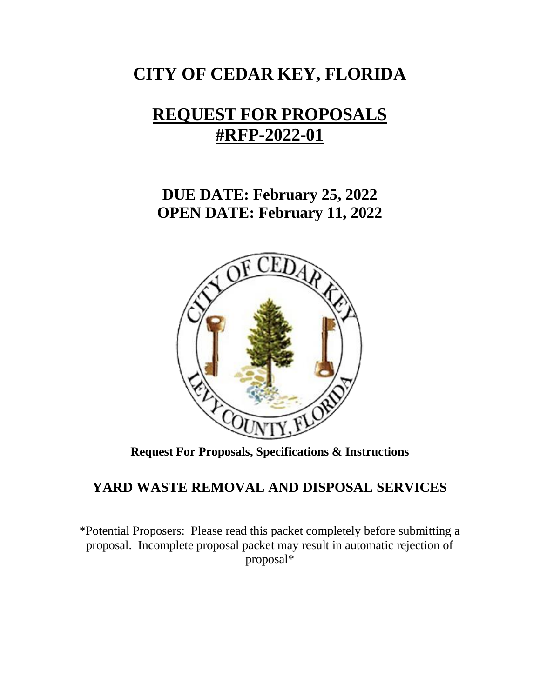# **CITY OF CEDAR KEY, FLORIDA**

# **REQUEST FOR PROPOSALS #RFP-2022-01**

**DUE DATE: February 25, 2022 OPEN DATE: February 11, 2022**



**Request For Proposals, Specifications & Instructions**

# **YARD WASTE REMOVAL AND DISPOSAL SERVICES**

\*Potential Proposers: Please read this packet completely before submitting a proposal. Incomplete proposal packet may result in automatic rejection of proposal\*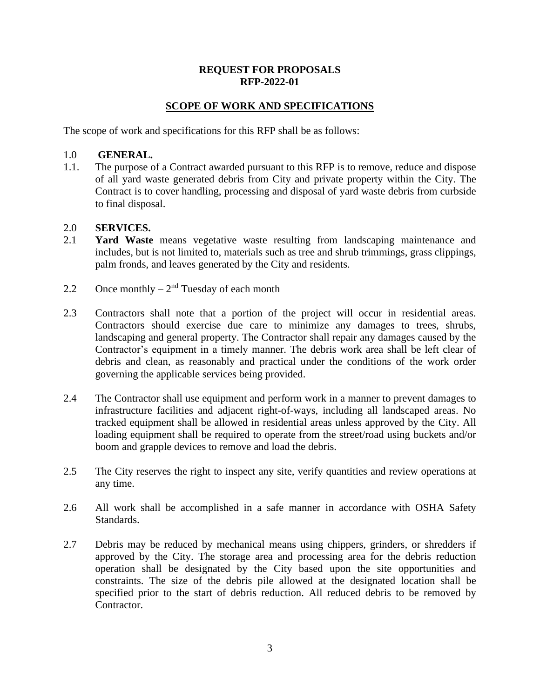### **REQUEST FOR PROPOSALS RFP-2022-01**

# **SCOPE OF WORK AND SPECIFICATIONS**

The scope of work and specifications for this RFP shall be as follows:

#### 1.0 **GENERAL.**

1.1. The purpose of a Contract awarded pursuant to this RFP is to remove, reduce and dispose of all yard waste generated debris from City and private property within the City. The Contract is to cover handling, processing and disposal of yard waste debris from curbside to final disposal.

#### 2.0 **SERVICES.**

- 2.1 **Yard Waste** means vegetative waste resulting from landscaping maintenance and includes, but is not limited to, materials such as tree and shrub trimmings, grass clippings, palm fronds, and leaves generated by the City and residents.
- 2.2 Once monthly  $-2<sup>nd</sup>$  Tuesday of each month
- 2.3 Contractors shall note that a portion of the project will occur in residential areas. Contractors should exercise due care to minimize any damages to trees, shrubs, landscaping and general property. The Contractor shall repair any damages caused by the Contractor's equipment in a timely manner. The debris work area shall be left clear of debris and clean, as reasonably and practical under the conditions of the work order governing the applicable services being provided.
- 2.4 The Contractor shall use equipment and perform work in a manner to prevent damages to infrastructure facilities and adjacent right-of-ways, including all landscaped areas. No tracked equipment shall be allowed in residential areas unless approved by the City. All loading equipment shall be required to operate from the street/road using buckets and/or boom and grapple devices to remove and load the debris.
- 2.5 The City reserves the right to inspect any site, verify quantities and review operations at any time.
- 2.6 All work shall be accomplished in a safe manner in accordance with OSHA Safety Standards.
- 2.7 Debris may be reduced by mechanical means using chippers, grinders, or shredders if approved by the City. The storage area and processing area for the debris reduction operation shall be designated by the City based upon the site opportunities and constraints. The size of the debris pile allowed at the designated location shall be specified prior to the start of debris reduction. All reduced debris to be removed by Contractor.